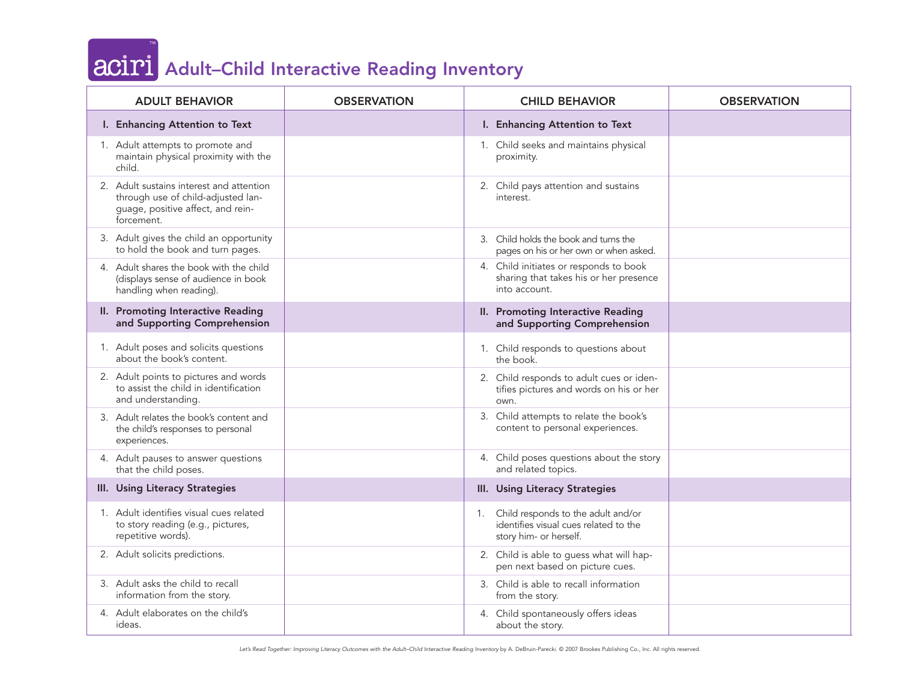## **Adult–Child Interactive Reading Inventory**

| <b>ADULT BEHAVIOR</b>                                                                                                             | <b>OBSERVATION</b> | <b>CHILD BEHAVIOR</b>                                                                                    | <b>OBSERVATION</b> |
|-----------------------------------------------------------------------------------------------------------------------------------|--------------------|----------------------------------------------------------------------------------------------------------|--------------------|
| I. Enhancing Attention to Text                                                                                                    |                    | I. Enhancing Attention to Text                                                                           |                    |
| 1. Adult attempts to promote and<br>maintain physical proximity with the<br>child.                                                |                    | 1. Child seeks and maintains physical<br>proximity.                                                      |                    |
| 2. Adult sustains interest and attention<br>through use of child-adjusted lan-<br>guage, positive affect, and rein-<br>forcement. |                    | 2. Child pays attention and sustains<br>interest.                                                        |                    |
| 3. Adult gives the child an opportunity<br>to hold the book and turn pages.                                                       |                    | 3. Child holds the book and turns the<br>pages on his or her own or when asked.                          |                    |
| 4. Adult shares the book with the child<br>(displays sense of audience in book<br>handling when reading).                         |                    | 4. Child initiates or responds to book<br>sharing that takes his or her presence<br>into account.        |                    |
| II. Promoting Interactive Reading<br>and Supporting Comprehension                                                                 |                    | II. Promoting Interactive Reading<br>and Supporting Comprehension                                        |                    |
| 1. Adult poses and solicits questions<br>about the book's content.                                                                |                    | 1. Child responds to questions about<br>the book.                                                        |                    |
| 2. Adult points to pictures and words<br>to assist the child in identification<br>and understanding.                              |                    | 2. Child responds to adult cues or iden-<br>tifies pictures and words on his or her<br>own.              |                    |
| 3. Adult relates the book's content and<br>the child's responses to personal<br>experiences.                                      |                    | 3. Child attempts to relate the book's<br>content to personal experiences.                               |                    |
| 4. Adult pauses to answer questions<br>that the child poses.                                                                      |                    | 4. Child poses questions about the story<br>and related topics.                                          |                    |
| III. Using Literacy Strategies                                                                                                    |                    | III. Using Literacy Strategies                                                                           |                    |
| 1. Adult identifies visual cues related<br>to story reading (e.g., pictures,<br>repetitive words).                                |                    | 1. Child responds to the adult and/or<br>identifies visual cues related to the<br>story him- or herself. |                    |
| 2. Adult solicits predictions.                                                                                                    |                    | 2. Child is able to guess what will hap-<br>pen next based on picture cues.                              |                    |
| 3. Adult asks the child to recall<br>information from the story.                                                                  |                    | 3. Child is able to recall information<br>from the story.                                                |                    |
| 4. Adult elaborates on the child's<br>ideas.                                                                                      |                    | 4. Child spontaneously offers ideas<br>about the story.                                                  |                    |